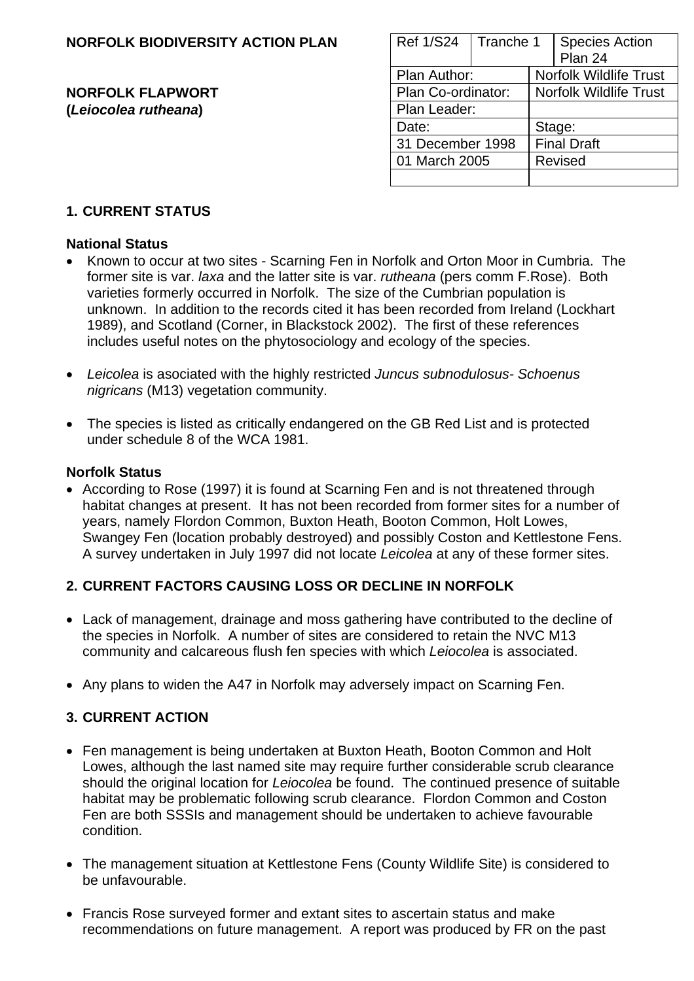#### **NORFOLK BIODIVERSITY ACTION PLAN**

#### **NORFOLK FLAPWORT (Leiocolea rutheana)**

| <b>Ref 1/S24</b>   | Tranche 1 |                               | <b>Species Action</b><br>Plan 24 |  |
|--------------------|-----------|-------------------------------|----------------------------------|--|
| Plan Author:       |           | <b>Norfolk Wildlife Trust</b> |                                  |  |
| Plan Co-ordinator: |           | <b>Norfolk Wildlife Trust</b> |                                  |  |
| Plan Leader:       |           |                               |                                  |  |
| Date:              |           | Stage:                        |                                  |  |
| 31 December 1998   |           | <b>Final Draft</b>            |                                  |  |
| 01 March 2005      |           | <b>Revised</b>                |                                  |  |
|                    |           |                               |                                  |  |

### **1. CURRENT STATUS**

#### **National Status**

- Known to occur at two sites Scarning Fen in Norfolk and Orton Moor in Cumbria. The former site is var. *laxa* and the latter site is var. *rutheana* (pers comm F.Rose). Both varieties formerly occurred in Norfolk. The size of the Cumbrian population is unknown. In addition to the records cited it has been recorded from Ireland (Lockhart 1989), and Scotland (Corner, in Blackstock 2002). The first of these references includes useful notes on the phytosociology and ecology of the species.
- *Leicolea* is asociated with the highly restricted *Juncus subnodulosus- Schoenus nigricans* (M13) vegetation community.
- The species is listed as critically endangered on the GB Red List and is protected under schedule 8 of the WCA 1981.

#### **Norfolk Status**

• According to Rose (1997) it is found at Scarning Fen and is not threatened through habitat changes at present. It has not been recorded from former sites for a number of years, namely Flordon Common, Buxton Heath, Booton Common, Holt Lowes, Swangey Fen (location probably destroyed) and possibly Coston and Kettlestone Fens. A survey undertaken in July 1997 did not locate *Leicolea* at any of these former sites.

#### **2. CURRENT FACTORS CAUSING LOSS OR DECLINE IN NORFOLK**

- Lack of management, drainage and moss gathering have contributed to the decline of the species in Norfolk. A number of sites are considered to retain the NVC M13 community and calcareous flush fen species with which *Leiocolea* is associated.
- Any plans to widen the A47 in Norfolk may adversely impact on Scarning Fen.

#### **3. CURRENT ACTION**

- Fen management is being undertaken at Buxton Heath, Booton Common and Holt Lowes, although the last named site may require further considerable scrub clearance should the original location for *Leiocolea* be found. The continued presence of suitable habitat may be problematic following scrub clearance. Flordon Common and Coston Fen are both SSSIs and management should be undertaken to achieve favourable condition.
- The management situation at Kettlestone Fens (County Wildlife Site) is considered to be unfavourable.
- Francis Rose surveyed former and extant sites to ascertain status and make recommendations on future management. A report was produced by FR on the past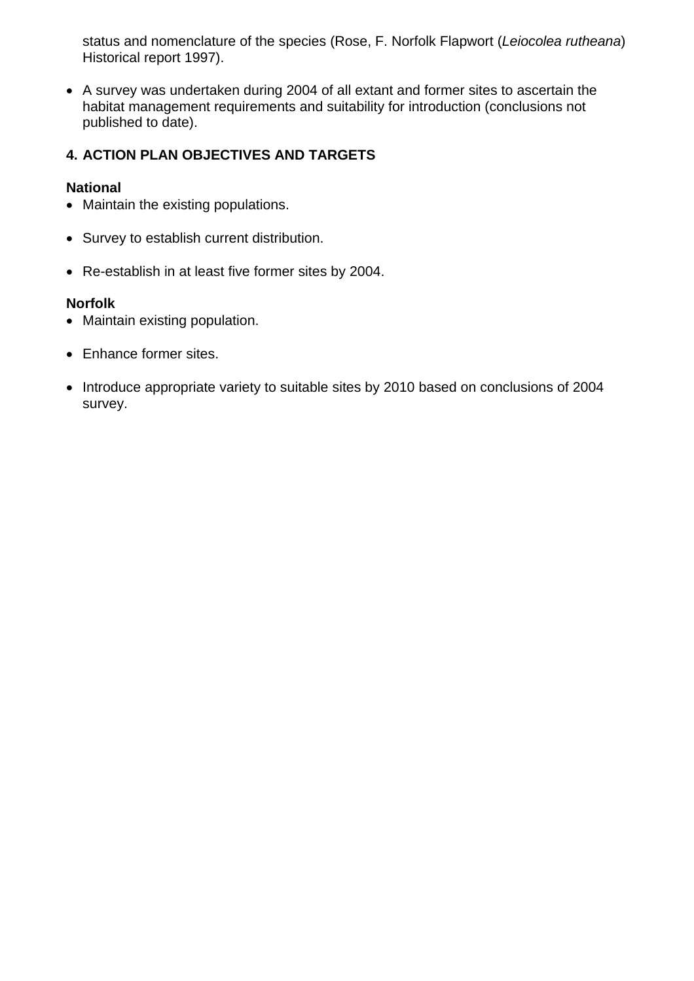status and nomenclature of the species (Rose, F. Norfolk Flapwort (*Leiocolea rutheana*) Historical report 1997).

• A survey was undertaken during 2004 of all extant and former sites to ascertain the habitat management requirements and suitability for introduction (conclusions not published to date).

#### **4. ACTION PLAN OBJECTIVES AND TARGETS**

#### **National**

- Maintain the existing populations.
- Survey to establish current distribution.
- Re-establish in at least five former sites by 2004.

#### **Norfolk**

- Maintain existing population.
- Enhance former sites.
- Introduce appropriate variety to suitable sites by 2010 based on conclusions of 2004 survey.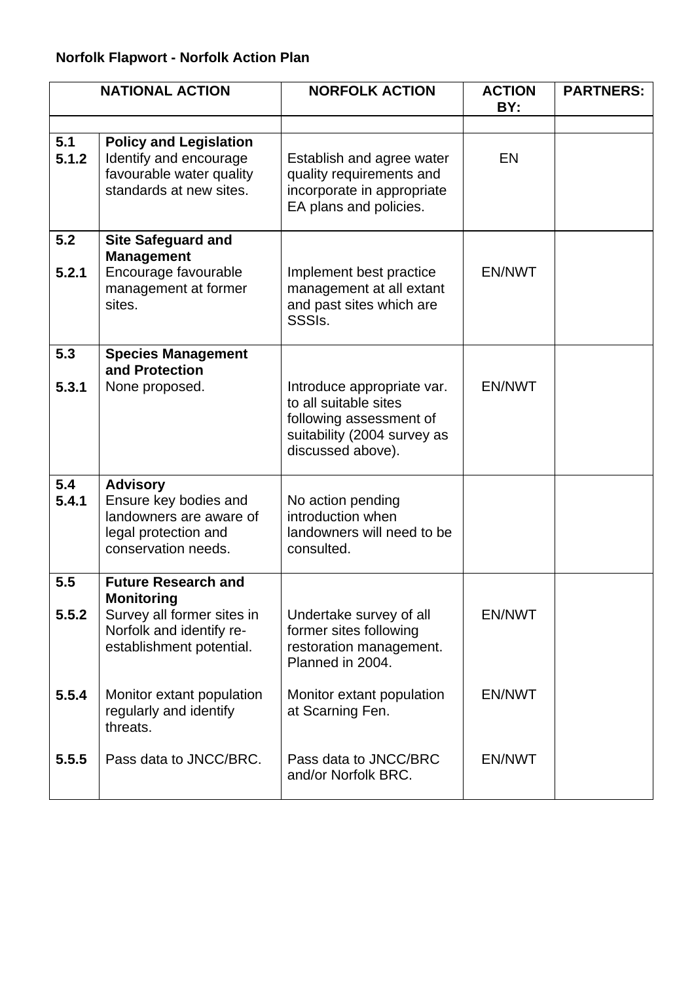## **Norfolk Flapwort - Norfolk Action Plan**

|              | <b>NATIONAL ACTION</b>                                                                                                                | <b>NORFOLK ACTION</b>                                                                                                              | <b>ACTION</b><br>BY: | <b>PARTNERS:</b> |
|--------------|---------------------------------------------------------------------------------------------------------------------------------------|------------------------------------------------------------------------------------------------------------------------------------|----------------------|------------------|
|              |                                                                                                                                       |                                                                                                                                    |                      |                  |
| 5.1<br>5.1.2 | <b>Policy and Legislation</b><br>Identify and encourage<br>favourable water quality<br>standards at new sites.                        | Establish and agree water<br>quality requirements and<br>incorporate in appropriate<br>EA plans and policies.                      | EN                   |                  |
| 5.2<br>5.2.1 | <b>Site Safeguard and</b><br><b>Management</b><br>Encourage favourable<br>management at former<br>sites.                              | Implement best practice<br>management at all extant<br>and past sites which are<br>SSSI <sub>s</sub> .                             | EN/NWT               |                  |
| 5.3<br>5.3.1 | <b>Species Management</b><br>and Protection<br>None proposed.                                                                         | Introduce appropriate var.<br>to all suitable sites<br>following assessment of<br>suitability (2004 survey as<br>discussed above). | <b>EN/NWT</b>        |                  |
| 5.4<br>5.4.1 | <b>Advisory</b><br>Ensure key bodies and<br>landowners are aware of<br>legal protection and<br>conservation needs.                    | No action pending<br>introduction when<br>landowners will need to be<br>consulted.                                                 |                      |                  |
| 5.5<br>5.5.2 | <b>Future Research and</b><br><b>Monitoring</b><br>Survey all former sites in<br>Norfolk and identify re-<br>establishment potential. | Undertake survey of all<br>former sites following<br>restoration management.<br>Planned in 2004.                                   | EN/NWT               |                  |
| 5.5.4        | Monitor extant population<br>regularly and identify<br>threats.                                                                       | Monitor extant population<br>at Scarning Fen.                                                                                      | EN/NWT               |                  |
| 5.5.5        | Pass data to JNCC/BRC.                                                                                                                | Pass data to JNCC/BRC<br>and/or Norfolk BRC.                                                                                       | EN/NWT               |                  |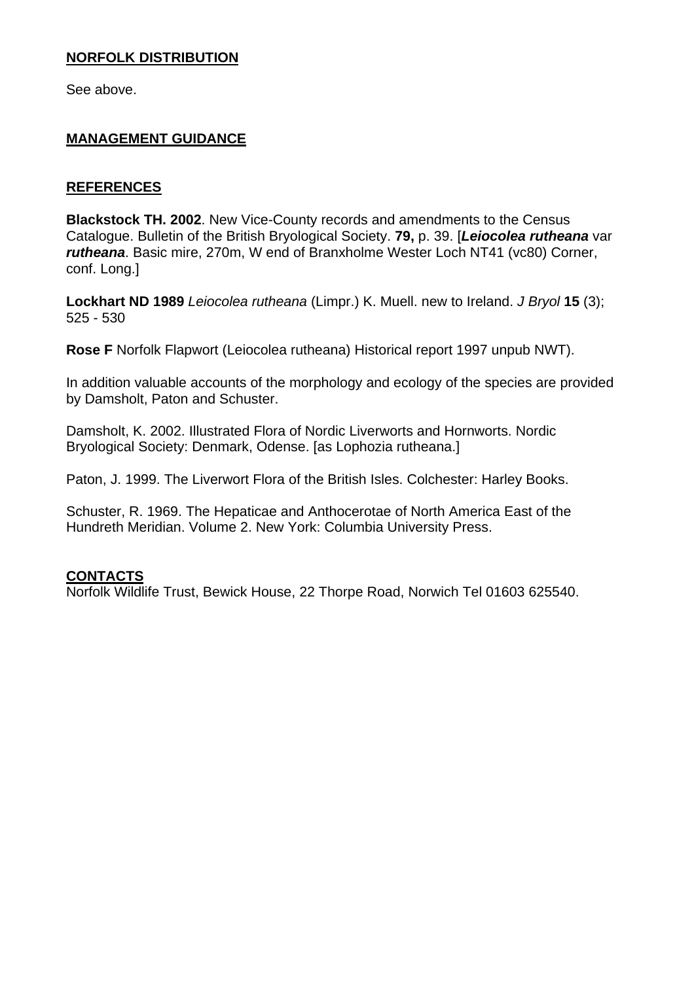#### **NORFOLK DISTRIBUTION**

See above.

#### **MANAGEMENT GUIDANCE**

#### **REFERENCES**

**Blackstock TH. 2002**. New Vice-County records and amendments to the Census Catalogue. Bulletin of the British Bryological Society. **79,** p. 39. [*Leiocolea rutheana* var *rutheana*. Basic mire, 270m, W end of Branxholme Wester Loch NT41 (vc80) Corner, conf. Long.]

**Lockhart ND 1989** *Leiocolea rutheana* (Limpr.) K. Muell. new to Ireland. *J Bryol* **15** (3); 525 - 530

**Rose F** Norfolk Flapwort (Leiocolea rutheana) Historical report 1997 unpub NWT).

In addition valuable accounts of the morphology and ecology of the species are provided by Damsholt, Paton and Schuster.

Damsholt, K. 2002. Illustrated Flora of Nordic Liverworts and Hornworts. Nordic Bryological Society: Denmark, Odense. [as Lophozia rutheana.]

Paton, J. 1999. The Liverwort Flora of the British Isles. Colchester: Harley Books.

Schuster, R. 1969. The Hepaticae and Anthocerotae of North America East of the Hundreth Meridian. Volume 2. New York: Columbia University Press.

#### **CONTACTS**

Norfolk Wildlife Trust, Bewick House, 22 Thorpe Road, Norwich Tel 01603 625540.